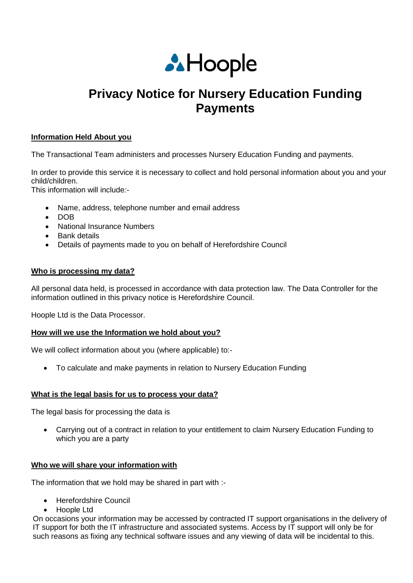

# **Privacy Notice for Nursery Education Funding Payments**

## **Information Held About you**

The Transactional Team administers and processes Nursery Education Funding and payments.

In order to provide this service it is necessary to collect and hold personal information about you and your child/children.

This information will include*:-*

- Name, address, telephone number and email address
- $\bullet$  DOB
- National Insurance Numbers
- Bank details
- Details of payments made to you on behalf of Herefordshire Council

#### **Who is processing my data?**

All personal data held, is processed in accordance with data protection law. The Data Controller for the information outlined in this privacy notice is Herefordshire Council.

Hoople Ltd is the Data Processor.

#### **How will we use the Information we hold about you?**

We will collect information about you (where applicable) to:-

To calculate and make payments in relation to Nursery Education Funding

#### **What is the legal basis for us to process your data?**

The legal basis for processing the data is

 Carrying out of a contract in relation to your entitlement to claim Nursery Education Funding to which you are a party

#### **Who we will share your information with**

The information that we hold may be shared in part with :-

- Herefordshire Council
- Hoople Ltd

On occasions your information may be accessed by contracted IT support organisations in the delivery of IT support for both the IT infrastructure and associated systems. Access by IT support will only be for such reasons as fixing any technical software issues and any viewing of data will be incidental to this.